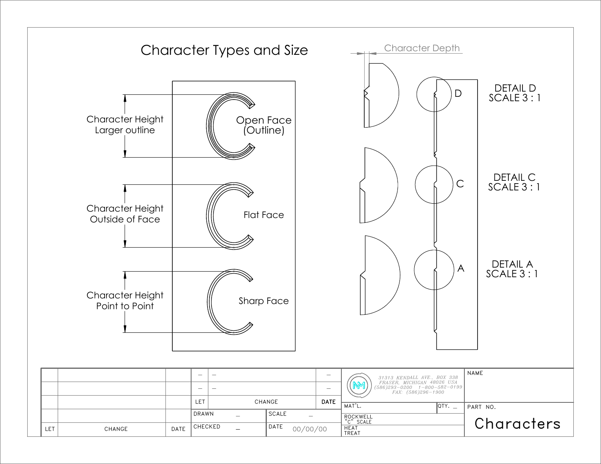